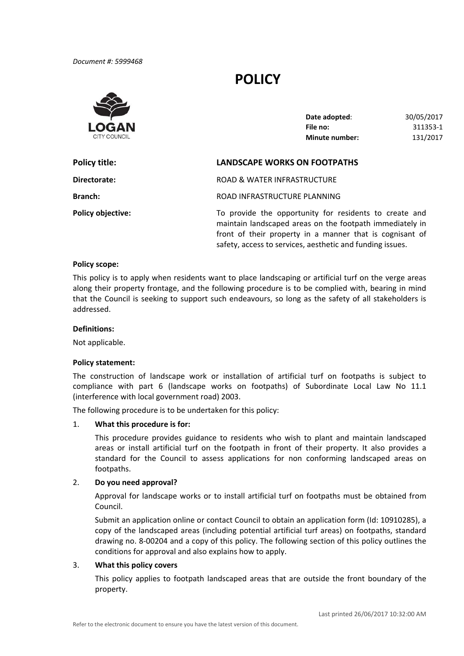*Document #: 5999468*

# **POLICY**



| Date adopted:         | 30/05/2017 |
|-----------------------|------------|
| File no:              | 311353-1   |
| <b>Minute number:</b> | 131/2017   |

| Policy title:            | <b>LANDSCAPE WORKS ON FOOTPATHS</b>                                                                                                                                            |
|--------------------------|--------------------------------------------------------------------------------------------------------------------------------------------------------------------------------|
| Directorate:             | ROAD & WATER INFRASTRUCTURE                                                                                                                                                    |
| <b>Branch:</b>           | ROAD INFRASTRUCTURE PLANNING                                                                                                                                                   |
| <b>Policy objective:</b> | To provide the opportunity for residents to create and<br>maintain landscaped areas on the footpath immediately in<br>front of their property in a manner that is cognisant of |

safety, access to services, aesthetic and funding issues.

# **Policy scope:**

 This policy is to apply when residents want to place landscaping or artificial turf on the verge areas along their property frontage, and the following procedure is to be complied with, bearing in mind that the Council is seeking to support such endeavours, so long as the safety of all stakeholders is addressed.

# **Definitions:**

Not applicable.

# **Policy statement:**

 The construction of landscape work or installation of artificial turf on footpaths is subject to compliance with part 6 (landscape works on footpaths) of Subordinate Local Law No 11.1 (interference with local government road) 2003.

The following procedure is to be undertaken for this policy:

#### 1. **What this procedure is for:**

This procedure provides guidance to residents who wish to plant and maintain landscaped areas or install artificial turf on the footpath in front of their property. It also provides a standard for the Council to assess applications for non conforming landscaped areas on footpaths.

# 2. **Do you need approval?**

 Approval for landscape works or to install artificial turf on footpaths must be obtained from Council.

Submit an application online or contact Council to obtain an application form (Id: 10910285), a copy of the landscaped areas (including potential artificial turf areas) on footpaths, standard drawing no. 8‐00204 and a copy of this policy. The following section of this policy outlines the conditions for approval and also explains how to apply.

# 3. **What this policy covers**

 This policy applies to footpath landscaped areas that are outside the front boundary of the property.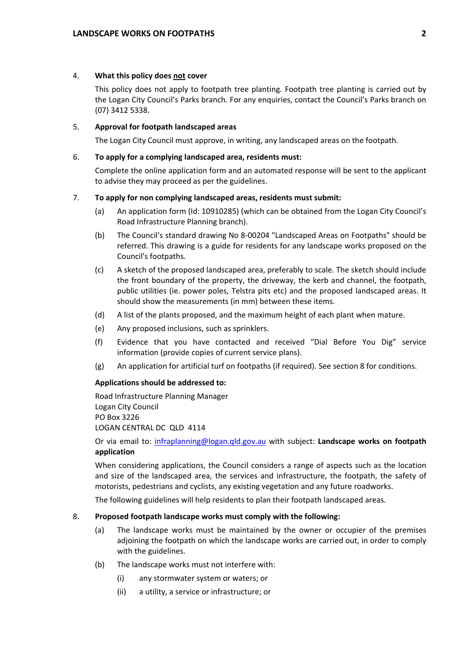# 4. **What this policy does not cover**

This policy does not apply to footpath tree planting. Footpath tree planting is carried out by the Logan City Council's Parks branch. For any enquiries, contact the Council's Parks branch on (07) 3412 5338.

# 5. **Approval for footpath landscaped areas**

The Logan City Council must approve, in writing, any landscaped areas on the footpath.

### 6. **To apply for a complying landscaped area, residents must:**

 Complete the online application form and an automated response will be sent to the applicant to advise they may proceed as per the guidelines.

# 7. **To apply for non complying landscaped areas, residents must submit:**

- (a) An application form (Id: 10910285) (which can be obtained from the Logan City Council's Road Infrastructure Planning branch).
- (b) The Council's standard drawing No 8‐00204 "Landscaped Areas on Footpaths" should be referred. This drawing is a guide for residents for any landscape works proposed on the Council's footpaths.
- (c) A sketch of the proposed landscaped area, preferably to scale. The sketch should include the front boundary of the property, the driveway, the kerb and channel, the footpath, public utilities (ie. power poles, Telstra pits etc) and the proposed landscaped areas. It should show the measurements (in mm) between these items.
- (d) A list of the plants proposed, and the maximum height of each plant when mature.
- (e) Any proposed inclusions, such as sprinklers.
- (f) Evidence that you have contacted and received "Dial Before You Dig" service information (provide copies of current service plans).
- (g) An application for artificial turf on footpaths (if required). See section 8 for conditions.

#### **Applications should be addressed to:**

 Road Infrastructure Planning Manager LOGAN CENTRAL DC QLD 4114 Logan City Council PO Box 3226

  Or via email to: [infraplanning@logan.qld.gov.au](mailto:infraplanning@logan.qld.gov.au) with subject: **Landscape works on footpath application**

 When considering applications, the Council considers a range of aspects such as the location and size of the landscaped area, the services and infrastructure, the footpath, the safety of motorists, pedestrians and cyclists, any existing vegetation and any future roadworks.

The following guidelines will help residents to plan their footpath landscaped areas.

### 8. **Proposed footpath landscape works must comply with the following:**

- (a) The landscape works must be maintained by the owner or occupier of the premises adjoining the footpath on which the landscape works are carried out, in order to comply with the guidelines.
- (b) The landscape works must not interfere with:
	- (i) any stormwater system or waters; or
	- (ii) a utility, a service or infrastructure; or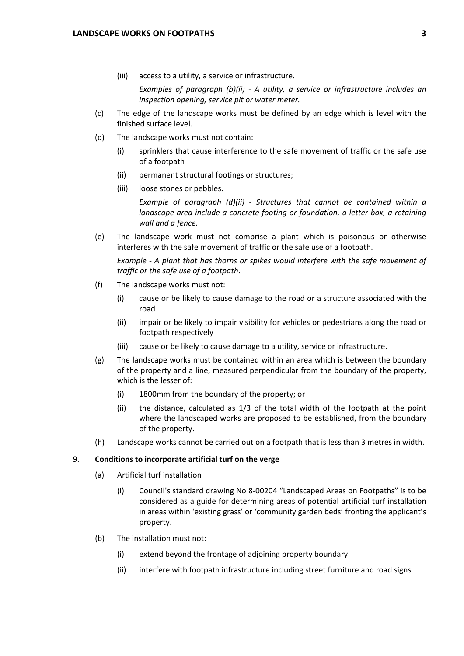(iii) access to a utility, a service or infrastructure.

 *Examples of paragraph (b)(ii) ‐ A utility, a service or infrastructure includes an inspection opening, service pit or water meter.*

- (c) The edge of the landscape works must be defined by an edge which is level with the finished surface level.
- (d) The landscape works must not contain:
	- (i) sprinklers that cause interference to the safe movement of traffic or the safe use of a footpath
	- (ii) permanent structural footings or structures;
	- (iii) loose stones or pebbles.

 *Example of paragraph (d)(ii) ‐ Structures that cannot be contained within a landscape area include a concrete footing or foundation, a letter box, a retaining wall and a fence.*

 (e) The landscape work must not comprise a plant which is poisonous or otherwise interferes with the safe movement of traffic or the safe use of a footpath.

Example - A plant that has thorns or spikes would interfere with the safe movement of  *traffic or the safe use of a footpath*.

- (f) The landscape works must not:
	- (i) cause or be likely to cause damage to the road or a structure associated with the road
	- (ii) impair or be likely to impair visibility for vehicles or pedestrians along the road or footpath respectively
	- (iii) cause or be likely to cause damage to a utility, service or infrastructure.
- (g) The landscape works must be contained within an area which is between the boundary of the property and a line, measured perpendicular from the boundary of the property, which is the lesser of:
	- (i) 1800mm from the boundary of the property; or
	- (ii) the distance, calculated as 1/3 of the total width of the footpath at the point where the landscaped works are proposed to be established, from the boundary of the property.
- (h) Landscape works cannot be carried out on a footpath that is less than 3 metres in width.

# 9. **Conditions to incorporate artificial turf on the verge**

- (a) Artificial turf installation
	- (i) Council's standard drawing No 8‐00204 "Landscaped Areas on Footpaths" is to be considered as a guide for determining areas of potential artificial turf installation in areas within 'existing grass' or 'community garden beds' fronting the applicant's property.
- (b) The installation must not:
	- (i) extend beyond the frontage of adjoining property boundary
	- (ii) interfere with footpath infrastructure including street furniture and road signs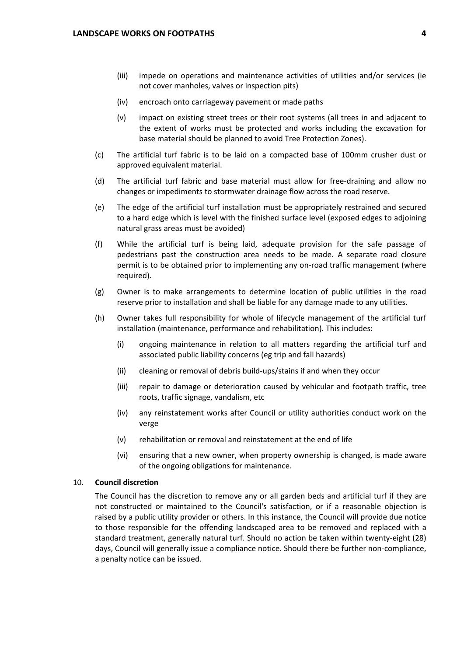- (iii) impede on operations and maintenance activities of utilities and/or services (ie not cover manholes, valves or inspection pits)
- (iv) encroach onto carriageway pavement or made paths
- (v) impact on existing street trees or their root systems (all trees in and adjacent to the extent of works must be protected and works including the excavation for base material should be planned to avoid Tree Protection Zones).
- (c) The artificial turf fabric is to be laid on a compacted base of 100mm crusher dust or approved equivalent material.
- (d) The artificial turf fabric and base material must allow for free‐draining and allow no changes or impediments to stormwater drainage flow across the road reserve.
- (e) The edge of the artificial turf installation must be appropriately restrained and secured to a hard edge which is level with the finished surface level (exposed edges to adjoining natural grass areas must be avoided)
- (f) While the artificial turf is being laid, adequate provision for the safe passage of pedestrians past the construction area needs to be made. A separate road closure permit is to be obtained prior to implementing any on‐road traffic management (where required).
- (g) Owner is to make arrangements to determine location of public utilities in the road reserve prior to installation and shall be liable for any damage made to any utilities.
- (h) Owner takes full responsibility for whole of lifecycle management of the artificial turf installation (maintenance, performance and rehabilitation). This includes:
	- (i) ongoing maintenance in relation to all matters regarding the artificial turf and associated public liability concerns (eg trip and fall hazards)
	- (ii) cleaning or removal of debris build‐ups/stains if and when they occur
	- (iii) repair to damage or deterioration caused by vehicular and footpath traffic, tree roots, traffic signage, vandalism, etc
	- (iv) any reinstatement works after Council or utility authorities conduct work on the verge
	- (v) rehabilitation or removal and reinstatement at the end of life
	- (vi) ensuring that a new owner, when property ownership is changed, is made aware of the ongoing obligations for maintenance.

# 10. **Council discretion**

The Council has the discretion to remove any or all garden beds and artificial turf if they are not constructed or maintained to the Council's satisfaction, or if a reasonable objection is raised by a public utility provider or others. In this instance, the Council will provide due notice to those responsible for the offending landscaped area to be removed and replaced with a standard treatment, generally natural turf. Should no action be taken within twenty‐eight (28) days, Council will generally issue a compliance notice. Should there be further non‐compliance, a penalty notice can be issued.